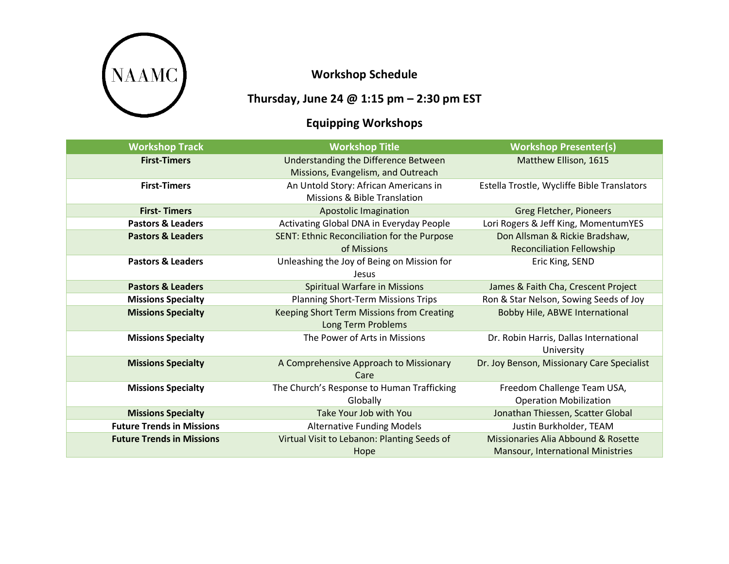

## **Workshop Schedule**

# **Thursday, June 24 @ 1:15 pm – 2:30 pm EST**

## **Equipping Workshops**

| <b>Workshop Track</b>            | <b>Workshop Title</b>                       | <b>Workshop Presenter(s)</b>                |
|----------------------------------|---------------------------------------------|---------------------------------------------|
| <b>First-Timers</b>              | Understanding the Difference Between        | Matthew Ellison, 1615                       |
|                                  | Missions, Evangelism, and Outreach          |                                             |
| <b>First-Timers</b>              | An Untold Story: African Americans in       | Estella Trostle, Wycliffe Bible Translators |
|                                  | <b>Missions &amp; Bible Translation</b>     |                                             |
| <b>First-Timers</b>              | <b>Apostolic Imagination</b>                | Greg Fletcher, Pioneers                     |
| <b>Pastors &amp; Leaders</b>     | Activating Global DNA in Everyday People    | Lori Rogers & Jeff King, MomentumYES        |
| <b>Pastors &amp; Leaders</b>     | SENT: Ethnic Reconciliation for the Purpose | Don Allsman & Rickie Bradshaw,              |
|                                  | of Missions                                 | <b>Reconciliation Fellowship</b>            |
| <b>Pastors &amp; Leaders</b>     | Unleashing the Joy of Being on Mission for  | Eric King, SEND                             |
|                                  | Jesus                                       |                                             |
| <b>Pastors &amp; Leaders</b>     | <b>Spiritual Warfare in Missions</b>        | James & Faith Cha, Crescent Project         |
| <b>Missions Specialty</b>        | Planning Short-Term Missions Trips          | Ron & Star Nelson, Sowing Seeds of Joy      |
| <b>Missions Specialty</b>        | Keeping Short Term Missions from Creating   | Bobby Hile, ABWE International              |
|                                  | Long Term Problems                          |                                             |
| <b>Missions Specialty</b>        | The Power of Arts in Missions               | Dr. Robin Harris, Dallas International      |
|                                  |                                             | University                                  |
| <b>Missions Specialty</b>        | A Comprehensive Approach to Missionary      | Dr. Joy Benson, Missionary Care Specialist  |
|                                  | Care                                        |                                             |
| <b>Missions Specialty</b>        | The Church's Response to Human Trafficking  | Freedom Challenge Team USA,                 |
|                                  | Globally                                    | <b>Operation Mobilization</b>               |
| <b>Missions Specialty</b>        | Take Your Job with You                      | Jonathan Thiessen, Scatter Global           |
| <b>Future Trends in Missions</b> | <b>Alternative Funding Models</b>           | Justin Burkholder, TEAM                     |
| <b>Future Trends in Missions</b> | Virtual Visit to Lebanon: Planting Seeds of | Missionaries Alia Abbound & Rosette         |
|                                  | Hope                                        | Mansour, International Ministries           |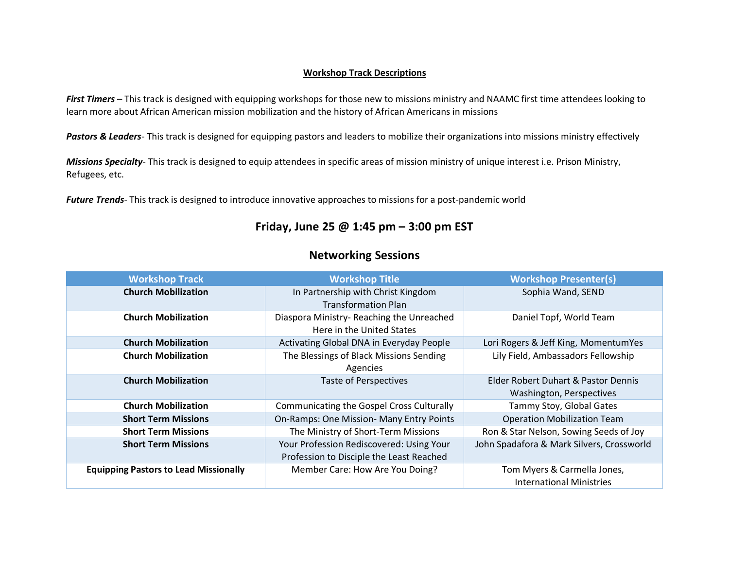#### **Workshop Track Descriptions**

*First Timers* – This track is designed with equipping workshops for those new to missions ministry and NAAMC first time attendees looking to learn more about African American mission mobilization and the history of African Americans in missions

*Pastors & Leaders*- This track is designed for equipping pastors and leaders to mobilize their organizations into missions ministry effectively

*Missions Specialty*- This track is designed to equip attendees in specific areas of mission ministry of unique interest i.e. Prison Ministry, Refugees, etc.

*Future Trends*- This track is designed to introduce innovative approaches to missions for a post-pandemic world

### **Friday, June 25 @ 1:45 pm – 3:00 pm EST**

### **Networking Sessions**

| <b>Workshop Track</b>                        | <b>Workshop Title</b>                                                                | <b>Workshop Presenter(s)</b>                                    |
|----------------------------------------------|--------------------------------------------------------------------------------------|-----------------------------------------------------------------|
| <b>Church Mobilization</b>                   | In Partnership with Christ Kingdom<br><b>Transformation Plan</b>                     | Sophia Wand, SEND                                               |
| <b>Church Mobilization</b>                   | Diaspora Ministry-Reaching the Unreached<br>Here in the United States                | Daniel Topf, World Team                                         |
| <b>Church Mobilization</b>                   | Activating Global DNA in Everyday People                                             | Lori Rogers & Jeff King, MomentumYes                            |
| <b>Church Mobilization</b>                   | The Blessings of Black Missions Sending<br>Agencies                                  | Lily Field, Ambassadors Fellowship                              |
| <b>Church Mobilization</b>                   | <b>Taste of Perspectives</b>                                                         | Elder Robert Duhart & Pastor Dennis<br>Washington, Perspectives |
| <b>Church Mobilization</b>                   | Communicating the Gospel Cross Culturally                                            | Tammy Stoy, Global Gates                                        |
| <b>Short Term Missions</b>                   | <b>On-Ramps: One Mission- Many Entry Points</b>                                      | <b>Operation Mobilization Team</b>                              |
| <b>Short Term Missions</b>                   | The Ministry of Short-Term Missions                                                  | Ron & Star Nelson, Sowing Seeds of Joy                          |
| <b>Short Term Missions</b>                   | Your Profession Rediscovered: Using Your<br>Profession to Disciple the Least Reached | John Spadafora & Mark Silvers, Crossworld                       |
| <b>Equipping Pastors to Lead Missionally</b> | Member Care: How Are You Doing?                                                      | Tom Myers & Carmella Jones,<br><b>International Ministries</b>  |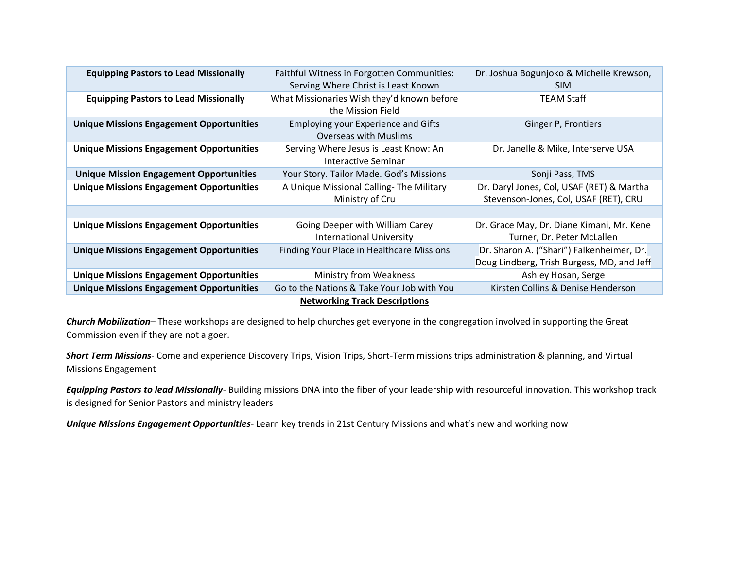| <b>Equipping Pastors to Lead Missionally</b>    | Faithful Witness in Forgotten Communities:       | Dr. Joshua Bogunjoko & Michelle Krewson,   |  |  |
|-------------------------------------------------|--------------------------------------------------|--------------------------------------------|--|--|
|                                                 | Serving Where Christ is Least Known              | <b>SIM</b>                                 |  |  |
| <b>Equipping Pastors to Lead Missionally</b>    | What Missionaries Wish they'd known before       | <b>TEAM Staff</b>                          |  |  |
|                                                 | the Mission Field                                |                                            |  |  |
| <b>Unique Missions Engagement Opportunities</b> | Employing your Experience and Gifts              | Ginger P, Frontiers                        |  |  |
|                                                 | Overseas with Muslims                            |                                            |  |  |
| <b>Unique Missions Engagement Opportunities</b> | Serving Where Jesus is Least Know: An            | Dr. Janelle & Mike, Interserve USA         |  |  |
|                                                 | Interactive Seminar                              |                                            |  |  |
| <b>Unique Mission Engagement Opportunities</b>  | Your Story. Tailor Made. God's Missions          | Sonji Pass, TMS                            |  |  |
| <b>Unique Missions Engagement Opportunities</b> | A Unique Missional Calling-The Military          | Dr. Daryl Jones, Col, USAF (RET) & Martha  |  |  |
|                                                 | Ministry of Cru                                  | Stevenson-Jones, Col, USAF (RET), CRU      |  |  |
|                                                 |                                                  |                                            |  |  |
| <b>Unique Missions Engagement Opportunities</b> | Going Deeper with William Carey                  | Dr. Grace May, Dr. Diane Kimani, Mr. Kene  |  |  |
|                                                 | <b>International University</b>                  | Turner, Dr. Peter McLallen                 |  |  |
| <b>Unique Missions Engagement Opportunities</b> | <b>Finding Your Place in Healthcare Missions</b> | Dr. Sharon A. ("Shari") Falkenheimer, Dr.  |  |  |
|                                                 |                                                  | Doug Lindberg, Trish Burgess, MD, and Jeff |  |  |
| <b>Unique Missions Engagement Opportunities</b> | <b>Ministry from Weakness</b>                    | Ashley Hosan, Serge                        |  |  |
| <b>Unique Missions Engagement Opportunities</b> | Go to the Nations & Take Your Job with You       | Kirsten Collins & Denise Henderson         |  |  |
| <b>Networking Track Descriptions</b>            |                                                  |                                            |  |  |

*Church Mobilization*– These workshops are designed to help churches get everyone in the congregation involved in supporting the Great Commission even if they are not a goer.

*Short Term Missions*- Come and experience Discovery Trips, Vision Trips, Short-Term missions trips administration & planning, and Virtual Missions Engagement

*Equipping Pastors to lead Missionally*- Building missions DNA into the fiber of your leadership with resourceful innovation. This workshop track is designed for Senior Pastors and ministry leaders

*Unique Missions Engagement Opportunities*- Learn key trends in 21st Century Missions and what's new and working now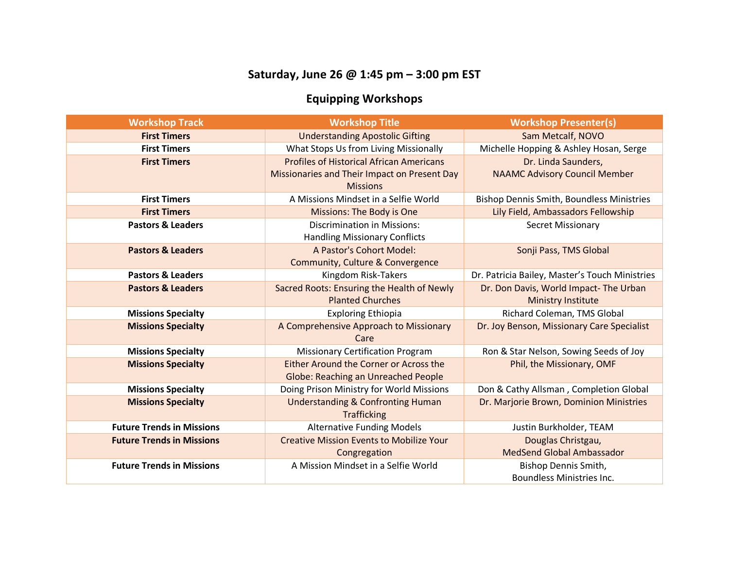### **Saturday, June 26 @ 1:45 pm – 3:00 pm EST**

# **Equipping Workshops**

| <b>Workshop Track</b>            | <b>Workshop Title</b>                           | <b>Workshop Presenter(s)</b>                     |
|----------------------------------|-------------------------------------------------|--------------------------------------------------|
| <b>First Timers</b>              | <b>Understanding Apostolic Gifting</b>          | Sam Metcalf, NOVO                                |
| <b>First Timers</b>              | What Stops Us from Living Missionally           | Michelle Hopping & Ashley Hosan, Serge           |
| <b>First Timers</b>              | <b>Profiles of Historical African Americans</b> | Dr. Linda Saunders,                              |
|                                  | Missionaries and Their Impact on Present Day    | <b>NAAMC Advisory Council Member</b>             |
|                                  | <b>Missions</b>                                 |                                                  |
| <b>First Timers</b>              | A Missions Mindset in a Selfie World            | <b>Bishop Dennis Smith, Boundless Ministries</b> |
| <b>First Timers</b>              | <b>Missions: The Body is One</b>                | Lily Field, Ambassadors Fellowship               |
| <b>Pastors &amp; Leaders</b>     | <b>Discrimination in Missions:</b>              | <b>Secret Missionary</b>                         |
|                                  | <b>Handling Missionary Conflicts</b>            |                                                  |
| <b>Pastors &amp; Leaders</b>     | A Pastor's Cohort Model:                        | Sonji Pass, TMS Global                           |
|                                  | Community, Culture & Convergence                |                                                  |
| <b>Pastors &amp; Leaders</b>     | Kingdom Risk-Takers                             | Dr. Patricia Bailey, Master's Touch Ministries   |
| <b>Pastors &amp; Leaders</b>     | Sacred Roots: Ensuring the Health of Newly      | Dr. Don Davis, World Impact- The Urban           |
|                                  | <b>Planted Churches</b>                         | <b>Ministry Institute</b>                        |
| <b>Missions Specialty</b>        | <b>Exploring Ethiopia</b>                       | Richard Coleman, TMS Global                      |
| <b>Missions Specialty</b>        | A Comprehensive Approach to Missionary          | Dr. Joy Benson, Missionary Care Specialist       |
|                                  | Care                                            |                                                  |
| <b>Missions Specialty</b>        | <b>Missionary Certification Program</b>         | Ron & Star Nelson, Sowing Seeds of Joy           |
| <b>Missions Specialty</b>        | Either Around the Corner or Across the          | Phil, the Missionary, OMF                        |
|                                  | <b>Globe: Reaching an Unreached People</b>      |                                                  |
| <b>Missions Specialty</b>        | Doing Prison Ministry for World Missions        | Don & Cathy Allsman, Completion Global           |
| <b>Missions Specialty</b>        | <b>Understanding &amp; Confronting Human</b>    | Dr. Marjorie Brown, Dominion Ministries          |
|                                  | <b>Trafficking</b>                              |                                                  |
| <b>Future Trends in Missions</b> | <b>Alternative Funding Models</b>               | Justin Burkholder, TEAM                          |
| <b>Future Trends in Missions</b> | <b>Creative Mission Events to Mobilize Your</b> | Douglas Christgau,                               |
|                                  | Congregation                                    | <b>MedSend Global Ambassador</b>                 |
| <b>Future Trends in Missions</b> | A Mission Mindset in a Selfie World             | Bishop Dennis Smith,                             |
|                                  |                                                 | <b>Boundless Ministries Inc.</b>                 |